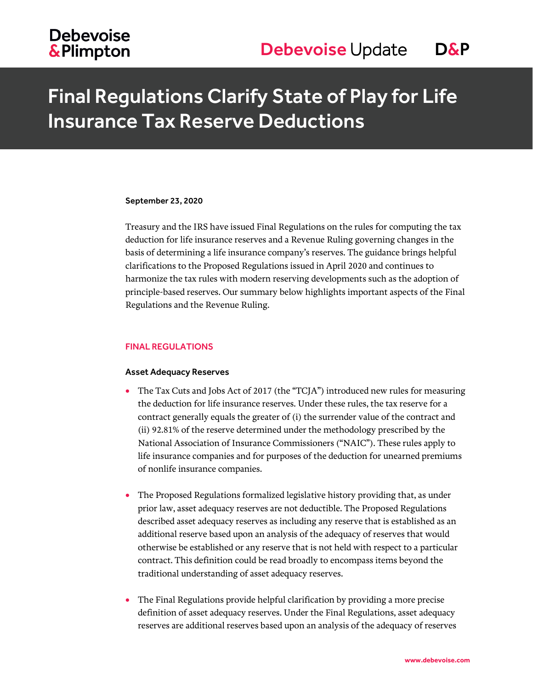# Final Regulations Clarify State of Play for Life Insurance Tax Reserve Deductions

#### September 23, 2020

Treasury and the IRS have issued Final Regulations on the rules for computing the tax deduction for life insurance reserves and a Revenue Ruling governing changes in the basis of determining a life insurance company's reserves. The guidance brings helpful clarifications to the Proposed Regulations issued in April 2020 and continues to harmonize the tax rules with modern reserving developments such as the adoption of principle-based reserves. Our summary below highlights important aspects of the Final Regulations and the Revenue Ruling.

## FINAL REGULATIONS

## Asset Adequacy Reserves

- The Tax Cuts and Jobs Act of 2017 (the "TCJA") introduced new rules for measuring the deduction for life insurance reserves. Under these rules, the tax reserve for a contract generally equals the greater of (i) the surrender value of the contract and (ii) 92.81% of the reserve determined under the methodology prescribed by the National Association of Insurance Commissioners ("NAIC"). These rules apply to life insurance companies and for purposes of the deduction for unearned premiums of nonlife insurance companies.
- The Proposed Regulations formalized legislative history providing that, as under prior law, asset adequacy reserves are not deductible. The Proposed Regulations described asset adequacy reserves as including any reserve that is established as an additional reserve based upon an analysis of the adequacy of reserves that would otherwise be established or any reserve that is not held with respect to a particular contract. This definition could be read broadly to encompass items beyond the traditional understanding of asset adequacy reserves.
- The Final Regulations provide helpful clarification by providing a more precise definition of asset adequacy reserves. Under the Final Regulations, asset adequacy reserves are additional reserves based upon an analysis of the adequacy of reserves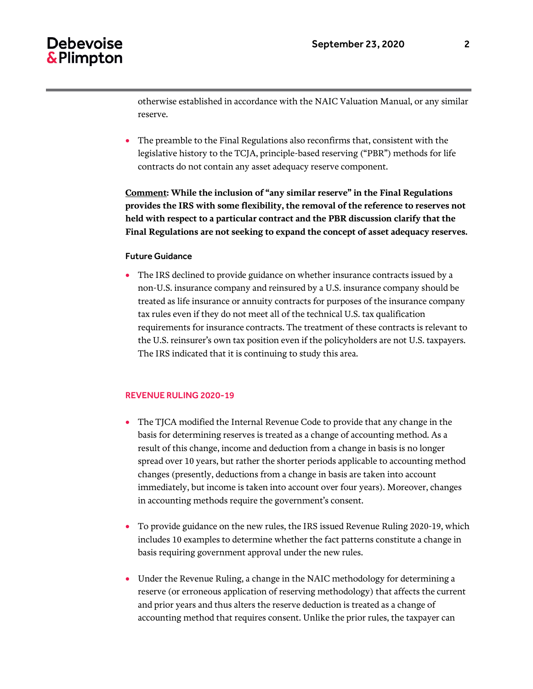# Debevoise & Plimpton

 The preamble to the Final Regulations also reconfirms that, consistent with the legislative history to the TCJA, principle-based reserving ("PBR") methods for life contracts do not contain any asset adequacy reserve component.

**Comment: While the inclusion of "any similar reserve" in the Final Regulations provides the IRS with some flexibility, the removal of the reference to reserves not held with respect to a particular contract and the PBR discussion clarify that the Final Regulations are not seeking to expand the concept of asset adequacy reserves.**

## Future Guidance

 The IRS declined to provide guidance on whether insurance contracts issued by a non-U.S. insurance company and reinsured by a U.S. insurance company should be treated as life insurance or annuity contracts for purposes of the insurance company tax rules even if they do not meet all of the technical U.S. tax qualification requirements for insurance contracts. The treatment of these contracts is relevant to the U.S. reinsurer's own tax position even if the policyholders are not U.S. taxpayers. The IRS indicated that it is continuing to study this area.

### REVENUE RULING 2020-19

- The TJCA modified the Internal Revenue Code to provide that any change in the basis for determining reserves is treated as a change of accounting method. As a result of this change, income and deduction from a change in basis is no longer spread over 10 years, but rather the shorter periods applicable to accounting method changes (presently, deductions from a change in basis are taken into account immediately, but income is taken into account over four years). Moreover, changes in accounting methods require the government's consent.
- To provide guidance on the new rules, the IRS issued Revenue Ruling 2020-19, which includes 10 examples to determine whether the fact patterns constitute a change in basis requiring government approval under the new rules.
- Under the Revenue Ruling, a change in the NAIC methodology for determining a reserve (or erroneous application of reserving methodology) that affects the current and prior years and thus alters the reserve deduction is treated as a change of accounting method that requires consent. Unlike the prior rules, the taxpayer can